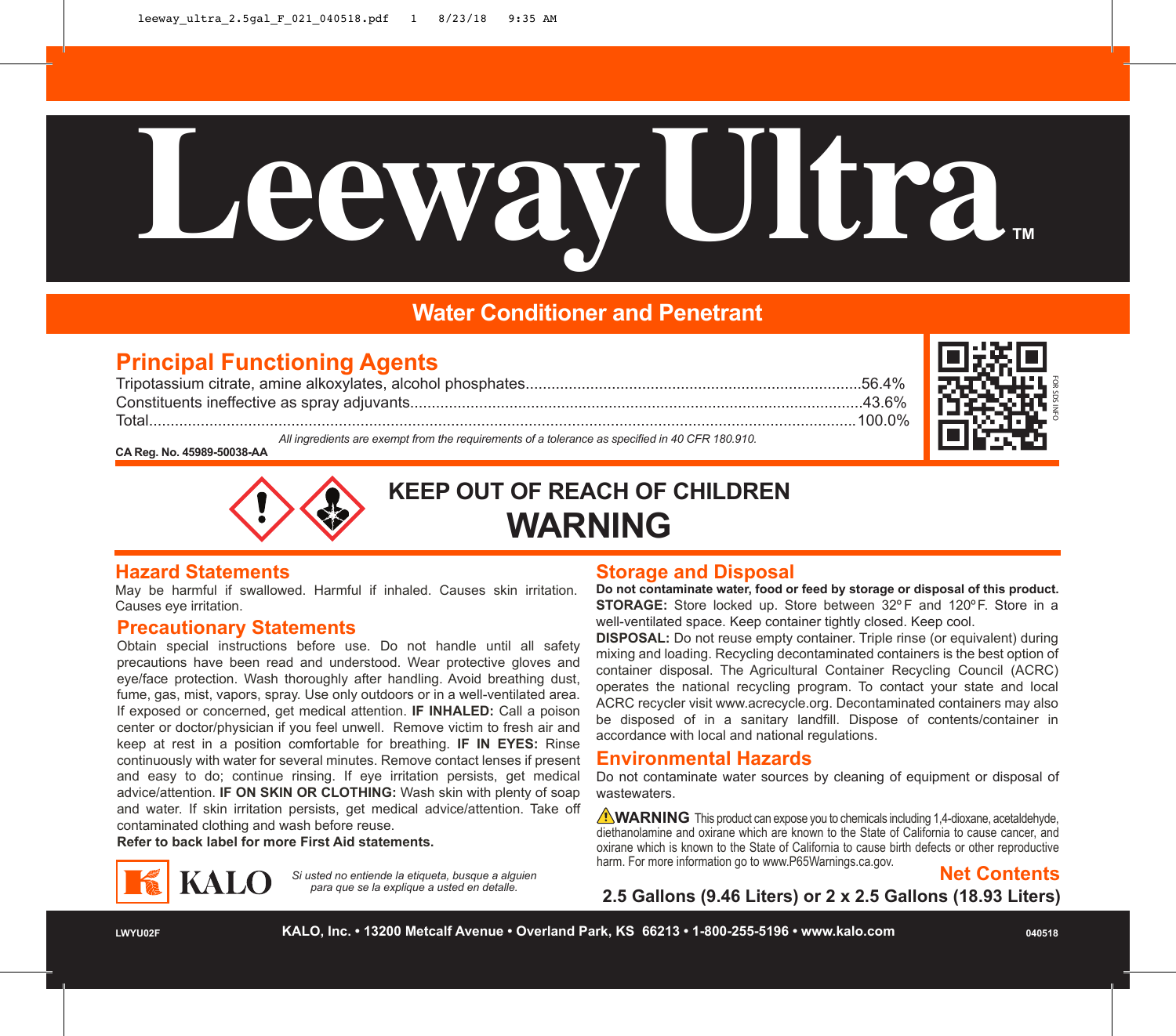# **LeewayUltra™**

# **Water Conditioner and Penetrant**

# **Principal Functioning Agents**

Tripotassium citrate, amine alkoxylates, alcohol phosphates..............................................................................56.4% Constituents ineffective as spray adjuvants.........................................................................................................43.6% Total....................................................................................................................................................................100.0%



*All ingredients are exempt from the requirements of a tolerance as specified in 40 CFR 180.910.*

**CA Reg. No. 45989-50038-AA** 



**KEEP OUT OF REACH OF CHILDREN WARNING**

### **Hazard Statements**

May be harmful if swallowed. Harmful if inhaled. Causes skin irritation. Causes eye irritation.

### **Precautionary Statements**

Obtain special instructions before use. Do not handle until all safety precautions have been read and understood. Wear protective gloves and eye/face protection. Wash thoroughly after handling. Avoid breathing dust, fume, gas, mist, vapors, spray. Use only outdoors or in a well-ventilated area. If exposed or concerned, get medical attention. **IF INHALED:** Call a poison center or doctor/physician if you feel unwell. Remove victim to fresh air and keep at rest in a position comfortable for breathing. **IF IN EYES:** Rinse continuously with water for several minutes. Remove contact lenses if present and easy to do; continue rinsing. If eye irritation persists, get medical advice/attention. **IF ON SKIN OR CLOTHING:** Wash skin with plenty of soap and water. If skin irritation persists, get medical advice/attention. Take off contaminated clothing and wash before reuse.

**Refer to back label for more First Aid statements.**



*Si usted no entiende la etiqueta, busque a alguien para que se la explique a usted en detalle.*

### **Storage and Disposal**

**Do not contaminate water, food or feed by storage or disposal of this product. STORAGE:** Store locked up. Store between 32º F and 120ºF. Store in a well-ventilated space. Keep container tightly closed. Keep cool.

**DISPOSAL:** Do not reuse empty container. Triple rinse (or equivalent) during mixing and loading. Recycling decontaminated containers is the best option of container disposal. The Agricultural Container Recycling Council (ACRC) operates the national recycling program. To contact your state and local ACRC recycler visit www.acrecycle.org. Decontaminated containers may also be disposed of in a sanitary landfill. Dispose of contents/container in accordance with local and national regulations.

## **Environmental Hazards**

Do not contaminate water sources by cleaning of equipment or disposal of wastewaters.

**WARNING** This product can expose you to chemicals including 1,4-dioxane, acetaldehyde, diethanolamine and oxirane which are known to the State of California to cause cancer, and oxirane which is known to the State of California to cause birth defects or other reproductive harm. For more information go to www.P65Warnings.ca.gov.



**2.5 Gallons (9.46 Liters) or 2 x 2.5 Gallons (18.93 Liters)**

**LWYU02F KALO, Inc. • 13200 Metcalf Avenue • Overland Park, KS 66213 • 1-800-255-5196 • www.kalo.com 040518**